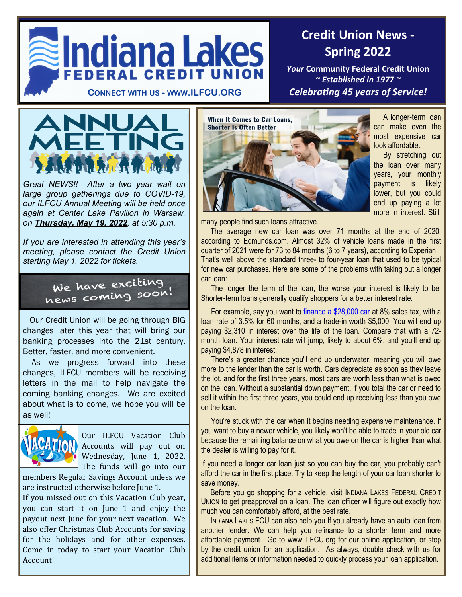

## **Credit Union News - Spring 2022**

*Your* **Community Federal Credit Union**  *~ Established in 1977 ~*



*Great NEWS!! After a two year wait on large group gatherings due to COVID-19, our ILFCU Annual Meeting will be held once again at Center Lake Pavilion in Warsaw, on Thursday, May 19, 2022, at 5:30 p.m.*

*If you are interested in attending this year's meeting, please contact the Credit Union starting May 1, 2022 for tickets.*

We have exciting<br>hews coming soon!

 Our Credit Union will be going through BIG changes later this year that will bring our banking processes into the 21st century. Better, faster, and more convenient.

 As we progress forward into these changes, ILFCU members will be receiving letters in the mail to help navigate the coming banking changes. We are excited about what is to come, we hope you will be as well!



Our ILFCU Vacation Club Accounts will pay out on Wednesday, June 1, 2022. The funds will go into our

members Regular Savings Account unless we are instructed otherwise before June 1.

If you missed out on this Vacation Club year, you can start it on June 1 and enjoy the payout next June for your next vacation. We also offer Christmas Club Accounts for saving for the holidays and for other expenses. Come in today to start your Vacation Club Account!



A longer-term loan can make even the most expensive car look affordable.

 By stretching out the loan over many years, your monthly payment is likely lower, but you could end up paying a lot more in interest. Still,

many people find such loans attractive.

 The average new car loan was over 71 months at the end of 2020, according to Edmunds.com. Almost 32% of vehicle loans made in the first quarter of 2021 were for 73 to 84 months (6 to 7 years), according to Experian. That's well above the standard three- to four-year loan that used to be typical for new car purchases. Here are some of the problems with taking out a longer car loan:

The longer the term of the loan, the worse your interest is likely to be. Shorter-term loans generally qualify shoppers for a better interest rate.

For example, say you want to [finance a \\$28,000 car](https://www.cars.com/car-loan-calculator/) at 8% sales tax, with a loan rate of 3.5% for 60 months, and a trade-in worth \$5,000. You will end up paying \$2,310 in interest over the life of the loan. Compare that with a 72 month loan. Your interest rate will jump, likely to about 6%, and you'll end up paying \$4,878 in interest.

There's a greater chance you'll end up underwater, meaning you will owe more to the lender than the car is worth. Cars depreciate as soon as they leave the lot, and for the first three years, most cars are worth less than what is owed on the loan. Without a substantial down payment, if you total the car or need to sell it within the first three years, you could end up receiving less than you owe on the loan.

You're stuck with the car when it begins needing expensive maintenance. If you want to buy a newer vehicle, you likely won't be able to trade in your old car because the remaining balance on what you owe on the car is higher than what the dealer is willing to pay for it.

If you need a longer car loan just so you can buy the car, you probably can't afford the car in the first place. Try to keep the length of your car loan shorter to save money.

 Before you go shopping for a vehicle, visit INDIANA LAKES FEDERAL CREDIT UNION to get preapproval on a loan. The loan officer will figure out exactly how much you can comfortably afford, at the best rate.

 INDIANA LAKES FCU can also help you If you already have an auto loan from another lender. We can help you refinance to a shorter term and more affordable payment. Go to www.ILFCU.org for our online application, or stop by the credit union for an application. As always, double check with us for additional items or information needed to quickly process your loan application.